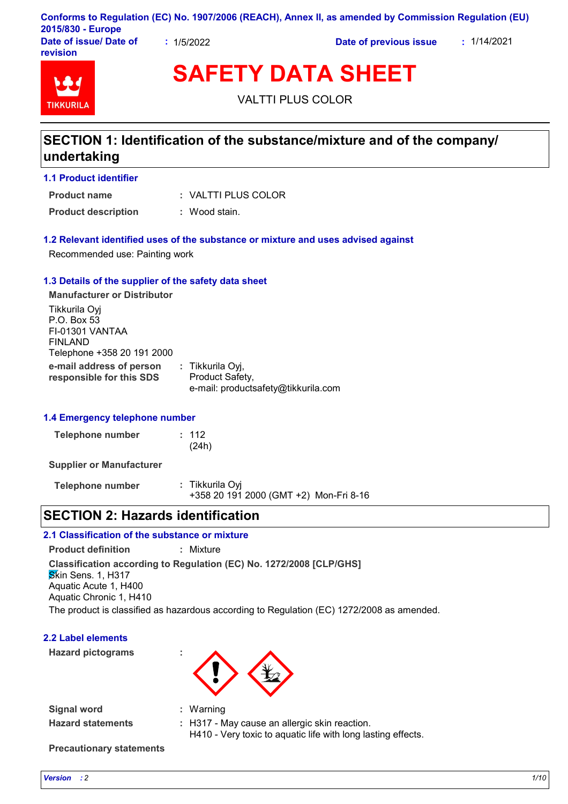|                                    |          | Conforms to Regulation (EC) No. 1907/2006 (REACH), Annex II, as amended by Commission Regulation (EU) |             |
|------------------------------------|----------|-------------------------------------------------------------------------------------------------------|-------------|
| 2015/830 - Europe                  |          |                                                                                                       |             |
| Date of issue/ Date of<br>revision | 1/5/2022 | Date of previous issue                                                                                | : 1/14/2021 |

# **TIKKURU**

**SAFETY DATA SHEET**

VALTTI PLUS COLOR

# **SECTION 1: Identification of the substance/mixture and of the company/ undertaking**

#### **1.1 Product identifier**

VALTTI PLUS COLOR **: Product name**

**Product description :** Wood stain.

#### **1.2 Relevant identified uses of the substance or mixture and uses advised against**

Recommended use: Painting work

#### **1.3 Details of the supplier of the safety data sheet**

**e-mail address of person responsible for this SDS :** Tikkurila Oyj, Product Safety, e-mail: productsafety@tikkurila.com **Manufacturer or Distributor** Tikkurila Oyj P.O. Box 53 FI-01301 VANTAA FINLAND Telephone +358 20 191 2000

#### **1.4 Emergency telephone number**

| <b>Telephone number</b> | : 112 |
|-------------------------|-------|
|                         | (24h) |

**Supplier or Manufacturer**

**Telephone number :** Tikkurila Oyj +358 20 191 2000 (GMT +2) Mon-Fri 8-16

# **SECTION 2: Hazards identification**

#### **2.1 Classification of the substance or mixture**

**Product definition :** Mixture

**Classification according to Regulation (EC) No. 1272/2008 [CLP/GHS]**

Warning

Skin Sens. 1, H317 Aquatic Acute 1, H400 Aquatic Chronic 1, H410

The product is classified as hazardous according to Regulation (EC) 1272/2008 as amended.

#### **2.2 Label elements**

**Hazard pictograms :**



**Signal word : Hazard statements :**

H317 - May cause an allergic skin reaction. H410 - Very toxic to aquatic life with long lasting effects.

**Precautionary statements**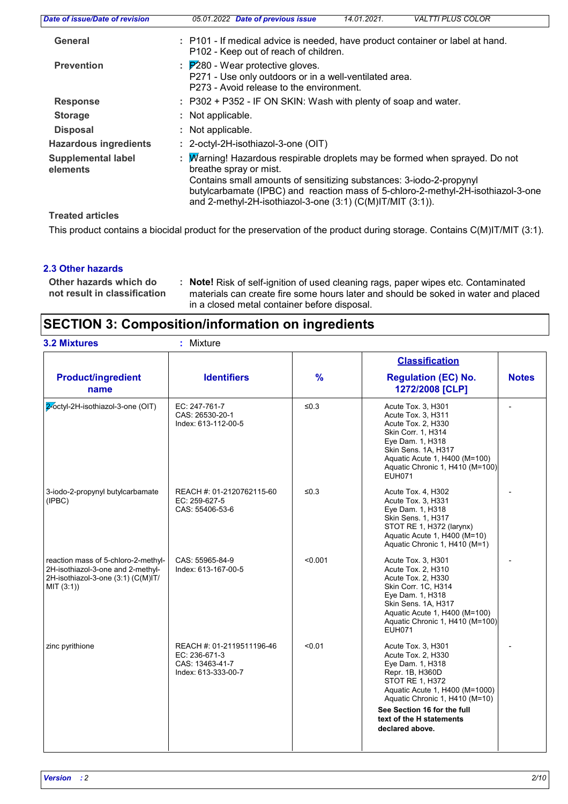| Date of issue/Date of revision        | 05.01.2022 Date of previous issue<br>14.01.2021.<br><b>VALTTI PLUS COLOR</b>                                                                                                                                                                                                                                                      |  |  |  |
|---------------------------------------|-----------------------------------------------------------------------------------------------------------------------------------------------------------------------------------------------------------------------------------------------------------------------------------------------------------------------------------|--|--|--|
| General                               | : P101 - If medical advice is needed, have product container or label at hand.<br>P102 - Keep out of reach of children.                                                                                                                                                                                                           |  |  |  |
| <b>Prevention</b>                     | $\therefore$ $\cancel{P280}$ - Wear protective gloves.<br>P271 - Use only outdoors or in a well-ventilated area.<br>P273 - Avoid release to the environment.                                                                                                                                                                      |  |  |  |
| <b>Response</b>                       | : P302 + P352 - IF ON SKIN: Wash with plenty of soap and water.                                                                                                                                                                                                                                                                   |  |  |  |
| <b>Storage</b>                        | : Not applicable.                                                                                                                                                                                                                                                                                                                 |  |  |  |
| <b>Disposal</b>                       | : Not applicable.                                                                                                                                                                                                                                                                                                                 |  |  |  |
| <b>Hazardous ingredients</b>          | : 2-octyl-2H-isothiazol-3-one (OIT)                                                                                                                                                                                                                                                                                               |  |  |  |
| <b>Supplemental label</b><br>elements | Marning! Hazardous respirable droplets may be formed when sprayed. Do not<br>breathe spray or mist.<br>Contains small amounts of sensitizing substances: 3-iodo-2-propynyl<br>butylcarbamate (IPBC) and reaction mass of 5-chloro-2-methyl-2H-isothiazol-3-one<br>and 2-methyl-2H-isothiazol-3-one $(3:1)$ (C(M)IT/MIT $(3:1)$ ). |  |  |  |
| <b>Treated articles</b>               |                                                                                                                                                                                                                                                                                                                                   |  |  |  |

This product contains a biocidal product for the preservation of the product during storage. Contains C(M)IT/MIT (3:1).

#### **2.3 Other hazards**

```
Other hazards which do :
not result in classification
```
**Note!** Risk of self-ignition of used cleaning rags, paper wipes etc. Contaminated materials can create fire some hours later and should be soked in water and placed in a closed metal container before disposal.

# **SECTION 3: Composition/information on ingredients**

| <b>3.2 Mixtures</b>                                                                                                          | : Mixture                                                                            |               |                                                                                                                                                                                                                                                      |              |
|------------------------------------------------------------------------------------------------------------------------------|--------------------------------------------------------------------------------------|---------------|------------------------------------------------------------------------------------------------------------------------------------------------------------------------------------------------------------------------------------------------------|--------------|
| <b>Product/ingredient</b><br>name                                                                                            | <b>Identifiers</b>                                                                   | $\frac{9}{6}$ | <b>Classification</b><br><b>Regulation (EC) No.</b><br>1272/2008 [CLP]                                                                                                                                                                               | <b>Notes</b> |
| 2-octyl-2H-isothiazol-3-one (OIT)                                                                                            | EC: 247-761-7<br>CAS: 26530-20-1<br>Index: 613-112-00-5                              | $\leq 0.3$    | Acute Tox. 3, H301<br>Acute Tox. 3, H311<br>Acute Tox. 2, H330<br>Skin Corr. 1, H314<br>Eye Dam. 1, H318<br>Skin Sens. 1A, H317<br>Aquatic Acute 1, H400 (M=100)<br>Aquatic Chronic 1, H410 (M=100)<br><b>EUH071</b>                                 |              |
| 3-iodo-2-propynyl butylcarbamate<br>(IPBC)                                                                                   | REACH #: 01-2120762115-60<br>EC: 259-627-5<br>CAS: 55406-53-6                        | ≤ $0.3$       | Acute Tox. 4, H302<br>Acute Tox. 3, H331<br>Eye Dam. 1, H318<br>Skin Sens. 1, H317<br>STOT RE 1, H372 (larynx)<br>Aquatic Acute 1, H400 (M=10)<br>Aquatic Chronic 1, H410 (M=1)                                                                      |              |
| reaction mass of 5-chloro-2-methyl-<br>2H-isothiazol-3-one and 2-methyl-<br>2H-isothiazol-3-one (3:1) (C(M)IT/<br>MIT (3:1)) | CAS: 55965-84-9<br>Index: 613-167-00-5                                               | < 0.001       | Acute Tox. 3, H301<br>Acute Tox. 2. H310<br>Acute Tox. 2, H330<br>Skin Corr. 1C, H314<br>Eye Dam. 1, H318<br>Skin Sens. 1A, H317<br>Aquatic Acute 1, H400 (M=100)<br>Aquatic Chronic 1, H410 (M=100)<br><b>EUH071</b>                                |              |
| zinc pyrithione                                                                                                              | REACH #: 01-2119511196-46<br>EC: 236-671-3<br>CAS: 13463-41-7<br>Index: 613-333-00-7 | < 0.01        | Acute Tox. 3, H301<br>Acute Tox. 2, H330<br>Eye Dam. 1, H318<br>Repr. 1B, H360D<br>STOT RE 1, H372<br>Aquatic Acute 1, H400 (M=1000)<br>Aquatic Chronic 1, H410 (M=10)<br>See Section 16 for the full<br>text of the H statements<br>declared above. |              |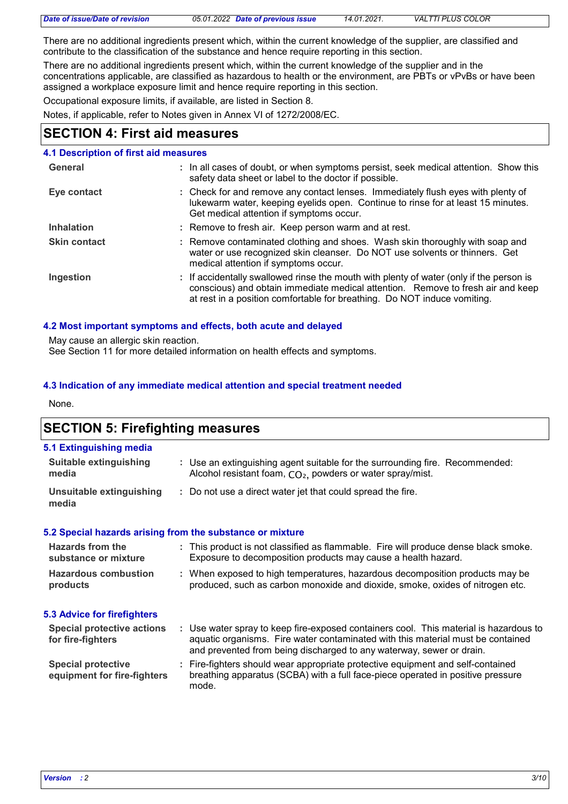| Date of issue/Date of revision |  |
|--------------------------------|--|
|--------------------------------|--|

*Date of issue/Date of revision 05.01.2022 Date of previous issue 14.01.2021. VALTTI PLUS COLOR*

There are no additional ingredients present which, within the current knowledge of the supplier, are classified and contribute to the classification of the substance and hence require reporting in this section.

There are no additional ingredients present which, within the current knowledge of the supplier and in the concentrations applicable, are classified as hazardous to health or the environment, are PBTs or vPvBs or have been assigned a workplace exposure limit and hence require reporting in this section.

Occupational exposure limits, if available, are listed in Section 8.

Notes, if applicable, refer to Notes given in Annex VI of 1272/2008/EC.

# **SECTION 4: First aid measures**

## **4.1 Description of first aid measures**

| General             | : In all cases of doubt, or when symptoms persist, seek medical attention. Show this<br>safety data sheet or label to the doctor if possible.                                                                                                          |
|---------------------|--------------------------------------------------------------------------------------------------------------------------------------------------------------------------------------------------------------------------------------------------------|
| Eye contact         | : Check for and remove any contact lenses. Immediately flush eyes with plenty of<br>lukewarm water, keeping eyelids open. Continue to rinse for at least 15 minutes.<br>Get medical attention if symptoms occur.                                       |
| <b>Inhalation</b>   | : Remove to fresh air. Keep person warm and at rest.                                                                                                                                                                                                   |
| <b>Skin contact</b> | : Remove contaminated clothing and shoes. Wash skin thoroughly with soap and<br>water or use recognized skin cleanser. Do NOT use solvents or thinners. Get<br>medical attention if symptoms occur.                                                    |
| Ingestion           | : If accidentally swallowed rinse the mouth with plenty of water (only if the person is<br>conscious) and obtain immediate medical attention. Remove to fresh air and keep<br>at rest in a position comfortable for breathing. Do NOT induce vomiting. |

## **4.2 Most important symptoms and effects, both acute and delayed**

May cause an allergic skin reaction.

See Section 11 for more detailed information on health effects and symptoms.

## **4.3 Indication of any immediate medical attention and special treatment needed**

None.

# **SECTION 5: Firefighting measures**

| 5.1 Extinguishing media                                   |                                                                                                                                                                                                                                                  |  |
|-----------------------------------------------------------|--------------------------------------------------------------------------------------------------------------------------------------------------------------------------------------------------------------------------------------------------|--|
| <b>Suitable extinguishing</b><br>media                    | : Use an extinguishing agent suitable for the surrounding fire. Recommended:<br>Alcohol resistant foam, CO <sub>2</sub> , powders or water spray/mist.                                                                                           |  |
| Unsuitable extinguishing<br>media                         | : Do not use a direct water jet that could spread the fire.                                                                                                                                                                                      |  |
| 5.2 Special hazards arising from the substance or mixture |                                                                                                                                                                                                                                                  |  |
| Hazards from the<br>substance or mixture                  | : This product is not classified as flammable. Fire will produce dense black smoke.<br>Exposure to decomposition products may cause a health hazard.                                                                                             |  |
| <b>Hazardous combustion</b><br>products                   | : When exposed to high temperatures, hazardous decomposition products may be<br>produced, such as carbon monoxide and dioxide, smoke, oxides of nitrogen etc.                                                                                    |  |
| <b>5.3 Advice for firefighters</b>                        |                                                                                                                                                                                                                                                  |  |
| <b>Special protective actions</b><br>for fire-fighters    | : Use water spray to keep fire-exposed containers cool. This material is hazardous to<br>aquatic organisms. Fire water contaminated with this material must be contained<br>and prevented from being discharged to any waterway, sewer or drain. |  |
| <b>Special protective</b><br>equipment for fire-fighters  | : Fire-fighters should wear appropriate protective equipment and self-contained<br>breathing apparatus (SCBA) with a full face-piece operated in positive pressure<br>mode.                                                                      |  |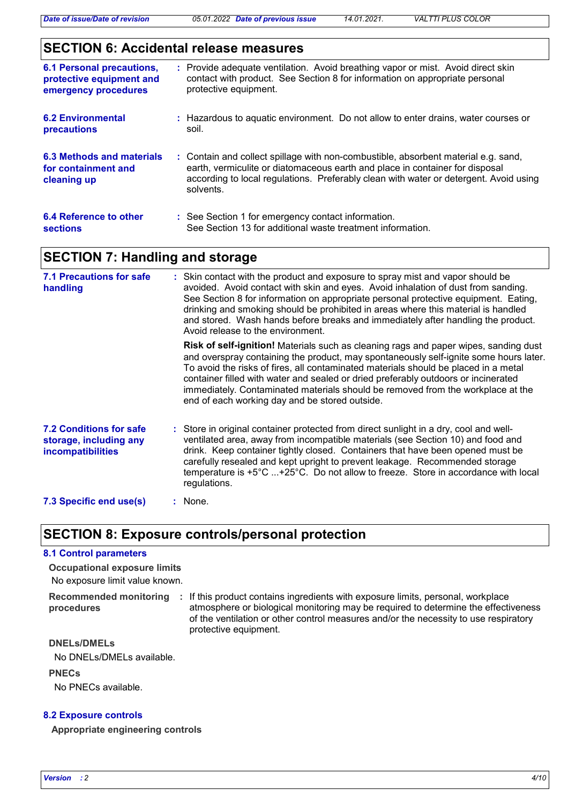# **SECTION 6: Accidental release measures**

| <b>6.1 Personal precautions,</b><br>protective equipment and<br>emergency procedures | : Provide adequate ventilation. Avoid breathing vapor or mist. Avoid direct skin<br>contact with product. See Section 8 for information on appropriate personal<br>protective equipment.                                                                                 |
|--------------------------------------------------------------------------------------|--------------------------------------------------------------------------------------------------------------------------------------------------------------------------------------------------------------------------------------------------------------------------|
| <b>6.2 Environmental</b><br>precautions                                              | : Hazardous to aquatic environment. Do not allow to enter drains, water courses or<br>soil.                                                                                                                                                                              |
| 6.3 Methods and materials<br>for containment and<br>cleaning up                      | : Contain and collect spillage with non-combustible, absorbent material e.g. sand,<br>earth, vermiculite or diatomaceous earth and place in container for disposal<br>according to local regulations. Preferably clean with water or detergent. Avoid using<br>solvents. |
| 6.4 Reference to other<br><b>sections</b>                                            | : See Section 1 for emergency contact information.<br>See Section 13 for additional waste treatment information.                                                                                                                                                         |

# **SECTION 7: Handling and storage**

| <b>7.1 Precautions for safe</b><br>handling                                   | : Skin contact with the product and exposure to spray mist and vapor should be<br>avoided. Avoid contact with skin and eyes. Avoid inhalation of dust from sanding.<br>See Section 8 for information on appropriate personal protective equipment. Eating,<br>drinking and smoking should be prohibited in areas where this material is handled<br>and stored. Wash hands before breaks and immediately after handling the product.<br>Avoid release to the environment.                               |  |  |
|-------------------------------------------------------------------------------|--------------------------------------------------------------------------------------------------------------------------------------------------------------------------------------------------------------------------------------------------------------------------------------------------------------------------------------------------------------------------------------------------------------------------------------------------------------------------------------------------------|--|--|
|                                                                               | <b>Risk of self-ignition!</b> Materials such as cleaning rags and paper wipes, sanding dust<br>and overspray containing the product, may spontaneously self-ignite some hours later.<br>To avoid the risks of fires, all contaminated materials should be placed in a metal<br>container filled with water and sealed or dried preferably outdoors or incinerated<br>immediately. Contaminated materials should be removed from the workplace at the<br>end of each working day and be stored outside. |  |  |
| <b>7.2 Conditions for safe</b><br>storage, including any<br>incompatibilities | : Store in original container protected from direct sunlight in a dry, cool and well-<br>ventilated area, away from incompatible materials (see Section 10) and food and<br>drink. Keep container tightly closed. Containers that have been opened must be<br>carefully resealed and kept upright to prevent leakage. Recommended storage<br>temperature is +5°C +25°C. Do not allow to freeze. Store in accordance with local<br>regulations.                                                         |  |  |
| 7.3 Specific end use(s)                                                       | : None.                                                                                                                                                                                                                                                                                                                                                                                                                                                                                                |  |  |

# **SECTION 8: Exposure controls/personal protection**

#### **8.1 Control parameters**

No exposure limit value known. **Occupational exposure limits**

**Recommended monitoring procedures** : If this product contains ingredients with exposure limits, personal, workplace atmosphere or biological monitoring may be required to determine the effectiveness of the ventilation or other control measures and/or the necessity to use respiratory protective equipment.

#### **DNELs/DMELs**

No DNELs/DMELs available.

#### **PNECs**

No PNECs available.

#### **8.2 Exposure controls**

**Appropriate engineering controls**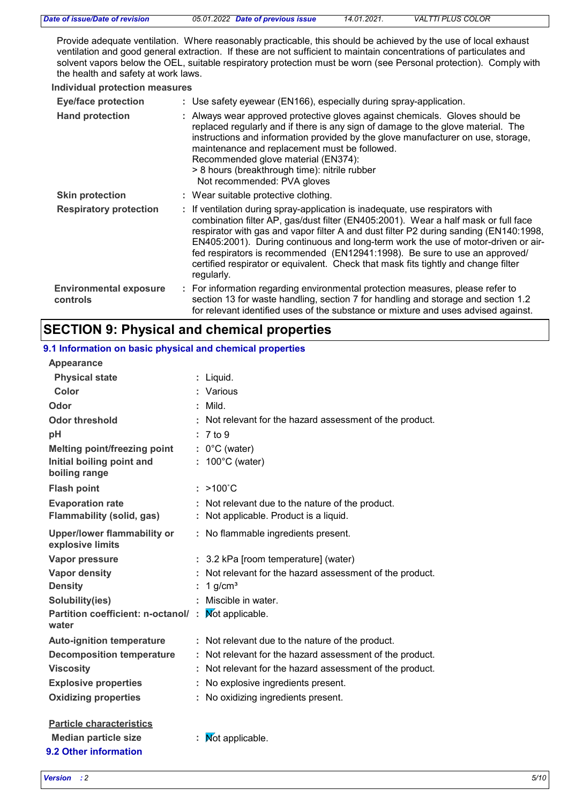| Date of issue/Date of revision | 05.01.2022 Date of previous issue | 14.01.2021. | VALTTI PLUS COLOR |
|--------------------------------|-----------------------------------|-------------|-------------------|
|                                |                                   |             |                   |

Provide adequate ventilation. Where reasonably practicable, this should be achieved by the use of local exhaust ventilation and good general extraction. If these are not sufficient to maintain concentrations of particulates and solvent vapors below the OEL, suitable respiratory protection must be worn (see Personal protection). Comply with the health and safety at work laws.

#### **Individual protection measures**

| <b>Eye/face protection</b>                | : Use safety eyewear (EN166), especially during spray-application.                                                                                                                                                                                                                                                                                                                                                                                                                                                                  |
|-------------------------------------------|-------------------------------------------------------------------------------------------------------------------------------------------------------------------------------------------------------------------------------------------------------------------------------------------------------------------------------------------------------------------------------------------------------------------------------------------------------------------------------------------------------------------------------------|
| <b>Hand protection</b>                    | Always wear approved protective gloves against chemicals. Gloves should be<br>replaced regularly and if there is any sign of damage to the glove material. The<br>instructions and information provided by the glove manufacturer on use, storage,<br>maintenance and replacement must be followed.<br>Recommended glove material (EN374):<br>> 8 hours (breakthrough time): nitrile rubber<br>Not recommended: PVA gloves                                                                                                          |
| <b>Skin protection</b>                    | : Wear suitable protective clothing.                                                                                                                                                                                                                                                                                                                                                                                                                                                                                                |
| <b>Respiratory protection</b>             | : If ventilation during spray-application is inadequate, use respirators with<br>combination filter AP, gas/dust filter (EN405:2001). Wear a half mask or full face<br>respirator with gas and vapor filter A and dust filter P2 during sanding (EN140:1998,<br>EN405:2001). During continuous and long-term work the use of motor-driven or air-<br>fed respirators is recommended (EN12941:1998). Be sure to use an approved/<br>certified respirator or equivalent. Check that mask fits tightly and change filter<br>regularly. |
| <b>Environmental exposure</b><br>controls | : For information regarding environmental protection measures, please refer to<br>section 13 for waste handling, section 7 for handling and storage and section 1.2<br>for relevant identified uses of the substance or mixture and uses advised against.                                                                                                                                                                                                                                                                           |

## **SECTION 9: Physical and chemical properties**

| 9.1 Information on basic physical and chemical properties |    |                                                          |
|-----------------------------------------------------------|----|----------------------------------------------------------|
| <b>Appearance</b>                                         |    |                                                          |
| <b>Physical state</b>                                     |    | : Liquid.                                                |
| <b>Color</b>                                              |    | : Various                                                |
| Odor                                                      |    | $:$ Mild.                                                |
| <b>Odor threshold</b>                                     |    | Not relevant for the hazard assessment of the product.   |
| pH                                                        |    | : 7 to 9                                                 |
| Melting point/freezing point                              |    | $: 0^{\circ}$ C (water)                                  |
| Initial boiling point and<br>boiling range                |    | $: 100^{\circ}$ C (water)                                |
| <b>Flash point</b>                                        |    | $: >100^{\circ}$ C                                       |
| <b>Evaporation rate</b>                                   |    | : Not relevant due to the nature of the product.         |
| <b>Flammability (solid, gas)</b>                          | ÷. | Not applicable. Product is a liquid.                     |
| <b>Upper/lower flammability or</b><br>explosive limits    |    | : No flammable ingredients present.                      |
| Vapor pressure                                            |    | : 3.2 kPa [room temperature] (water)                     |
| <b>Vapor density</b>                                      |    | : Not relevant for the hazard assessment of the product. |
| <b>Density</b>                                            | ÷. | 1 $g/cm3$                                                |
| Solubility(ies)                                           |    | Miscible in water.                                       |
| Partition coefficient: n-octanol/:<br>water               |    | Not applicable.                                          |
| <b>Auto-ignition temperature</b>                          |    | : Not relevant due to the nature of the product.         |
| <b>Decomposition temperature</b>                          |    | Not relevant for the hazard assessment of the product.   |
| <b>Viscosity</b>                                          |    | : Not relevant for the hazard assessment of the product. |
| <b>Explosive properties</b>                               |    | : No explosive ingredients present.                      |
| <b>Oxidizing properties</b>                               |    | No oxidizing ingredients present.                        |
| <b>Particle characteristics</b>                           |    |                                                          |
| <b>Median particle size</b>                               |    | Mot applicable.                                          |

#### *Version : 2 5/10*

**9.2 Other information**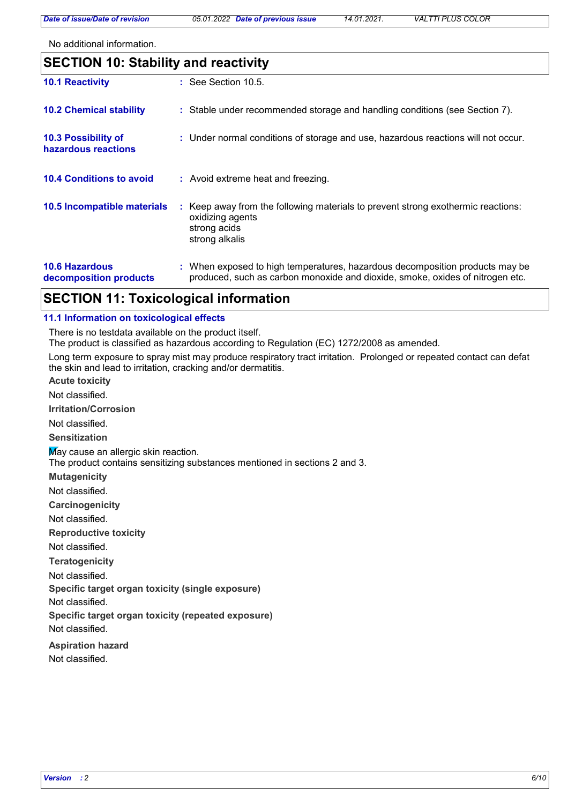*Date of issue/Date of revision 05.01.2022 Date of previous issue 14.01.2021. VALTTI PLUS COLOR*

No additional information.

| <b>SECTION 10: Stability and reactivity</b>     |                                                                                                                                                               |  |  |
|-------------------------------------------------|---------------------------------------------------------------------------------------------------------------------------------------------------------------|--|--|
| <b>10.1 Reactivity</b>                          | $\therefore$ See Section 10.5.                                                                                                                                |  |  |
| <b>10.2 Chemical stability</b>                  | : Stable under recommended storage and handling conditions (see Section 7).                                                                                   |  |  |
| 10.3 Possibility of<br>hazardous reactions      | : Under normal conditions of storage and use, hazardous reactions will not occur.                                                                             |  |  |
| <b>10.4 Conditions to avoid</b>                 | : Avoid extreme heat and freezing.                                                                                                                            |  |  |
| 10.5 Incompatible materials                     | : Keep away from the following materials to prevent strong exothermic reactions:<br>oxidizing agents<br>strong acids<br>strong alkalis                        |  |  |
| <b>10.6 Hazardous</b><br>decomposition products | : When exposed to high temperatures, hazardous decomposition products may be<br>produced, such as carbon monoxide and dioxide, smoke, oxides of nitrogen etc. |  |  |

# **SECTION 11: Toxicological information**

#### **11.1 Information on toxicological effects**

There is no testdata available on the product itself.

The product is classified as hazardous according to Regulation (EC) 1272/2008 as amended.

Long term exposure to spray mist may produce respiratory tract irritation. Prolonged or repeated contact can defat the skin and lead to irritation, cracking and/or dermatitis.

**Acute toxicity**

Not classified.

**Irritation/Corrosion**

Not classified.

**Sensitization**

May cause an allergic skin reaction.

The product contains sensitizing substances mentioned in sections 2 and 3.

**Mutagenicity**

Not classified.

**Carcinogenicity**

Not classified.

**Reproductive toxicity**

Not classified.

**Teratogenicity**

Not classified.

**Specific target organ toxicity (single exposure)**

Not classified.

**Specific target organ toxicity (repeated exposure)**

Not classified.

**Aspiration hazard**

Not classified.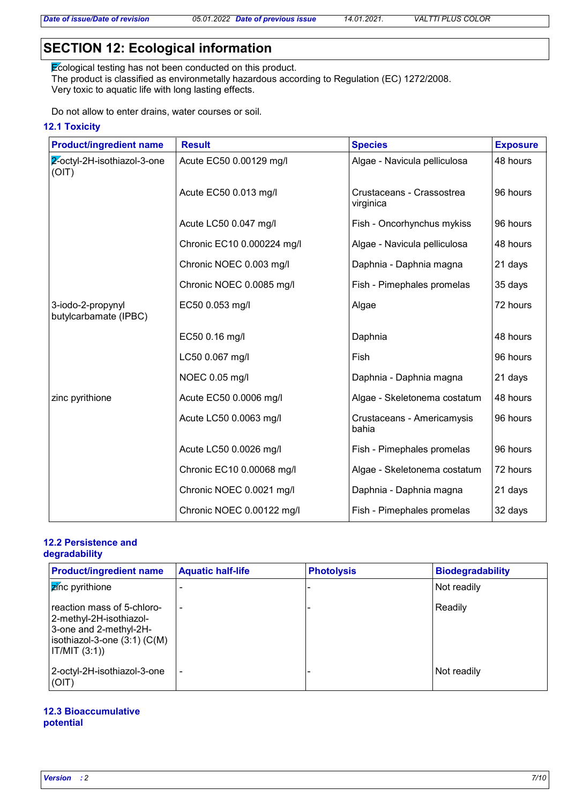# **SECTION 12: Ecological information**

Ecological testing has not been conducted on this product. The product is classified as environmetally hazardous according to Regulation (EC) 1272/2008. Very toxic to aquatic life with long lasting effects.

Do not allow to enter drains, water courses or soil.

## **12.1 Toxicity**

| <b>Product/ingredient name</b>             | <b>Result</b>              | <b>Species</b>                         | <b>Exposure</b> |
|--------------------------------------------|----------------------------|----------------------------------------|-----------------|
| 2-octyl-2H-isothiazol-3-one<br>(OIT)       | Acute EC50 0.00129 mg/l    | Algae - Navicula pelliculosa           | 48 hours        |
|                                            | Acute EC50 0.013 mg/l      | Crustaceans - Crassostrea<br>virginica | 96 hours        |
|                                            | Acute LC50 0.047 mg/l      | Fish - Oncorhynchus mykiss             | 96 hours        |
|                                            | Chronic EC10 0.000224 mg/l | Algae - Navicula pelliculosa           | 48 hours        |
|                                            | Chronic NOEC 0.003 mg/l    | Daphnia - Daphnia magna                | 21 days         |
|                                            | Chronic NOEC 0.0085 mg/l   | Fish - Pimephales promelas             | 35 days         |
| 3-iodo-2-propynyl<br>butylcarbamate (IPBC) | EC50 0.053 mg/l            | Algae                                  | 72 hours        |
|                                            | EC50 0.16 mg/l             | Daphnia                                | 48 hours        |
|                                            | LC50 0.067 mg/l            | Fish                                   | 96 hours        |
|                                            | NOEC 0.05 mg/l             | Daphnia - Daphnia magna                | 21 days         |
| zinc pyrithione                            | Acute EC50 0.0006 mg/l     | Algae - Skeletonema costatum           | 48 hours        |
|                                            | Acute LC50 0.0063 mg/l     | Crustaceans - Americamysis<br>bahia    | 96 hours        |
|                                            | Acute LC50 0.0026 mg/l     | Fish - Pimephales promelas             | 96 hours        |
|                                            | Chronic EC10 0.00068 mg/l  | Algae - Skeletonema costatum           | 72 hours        |
|                                            | Chronic NOEC 0.0021 mg/l   | Daphnia - Daphnia magna                | 21 days         |
|                                            | Chronic NOEC 0.00122 mg/l  | Fish - Pimephales promelas             | 32 days         |

#### **12.2 Persistence and degradability**

| <b>Product/ingredient name</b>                                                                                                       | <b>Aquatic half-life</b> | <b>Photolysis</b> | <b>Biodegradability</b> |
|--------------------------------------------------------------------------------------------------------------------------------------|--------------------------|-------------------|-------------------------|
| <b>z</b> ínc pyrithione                                                                                                              |                          |                   | Not readily             |
| reaction mass of 5-chloro-<br>2-methyl-2H-isothiazol-<br>3-one and 2-methyl-2H-<br>isothiazol-3-one $(3:1)$ $(C(M))$<br>IT/MIT (3:1) | $\overline{\phantom{a}}$ |                   | Readily                 |
| 2-octyl-2H-isothiazol-3-one<br>(OIT)                                                                                                 | $\overline{\phantom{0}}$ |                   | Not readily             |

#### **12.3 Bioaccumulative potential**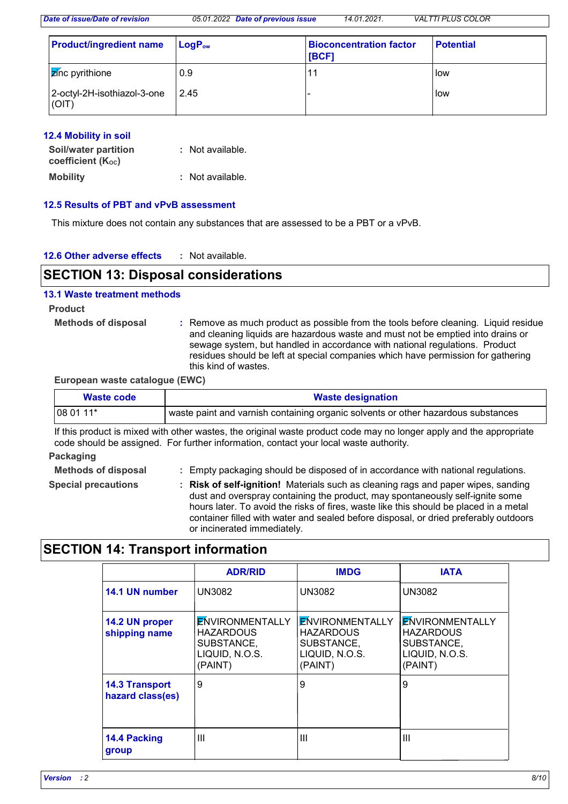*Date of issue/Date of revision 05.01.2022 Date of previous issue 14.01.2021. VALTTI PLUS COLOR*

| <b>Product/ingredient name</b>        | $\blacksquare$ Log $\mathsf{P}_{\mathsf{ow}}$ | <b>Bioconcentration factor</b><br><b>IBCF1</b> | <b>Potential</b> |
|---------------------------------------|-----------------------------------------------|------------------------------------------------|------------------|
| $\frac{1}{2}$ <i>z</i> ínc pyrithione | 0.9                                           | 11                                             | low              |
| 2-octyl-2H-isothiazol-3-one<br>(OIT)  | 2.45                                          |                                                | low              |

#### **12.4 Mobility in soil**

| <b>Soil/water partition</b><br>coefficient $(K_{oc})$ | : Not available. |
|-------------------------------------------------------|------------------|
| <b>Mobility</b>                                       | : Not available. |

#### **12.5 Results of PBT and vPvB assessment**

This mixture does not contain any substances that are assessed to be a PBT or a vPvB.

| 12.6 Other adverse effects | Not available. |
|----------------------------|----------------|
|----------------------------|----------------|

# **SECTION 13: Disposal considerations**

#### **13.1 Waste treatment methods**

**Product**

**Methods of disposal :**

Remove as much product as possible from the tools before cleaning. Liquid residue and cleaning liquids are hazardous waste and must not be emptied into drains or sewage system, but handled in accordance with national regulations. Product residues should be left at special companies which have permission for gathering this kind of wastes.

#### **European waste catalogue (EWC)**

| Waste code                                                                                        | <b>Waste designation</b> |
|---------------------------------------------------------------------------------------------------|--------------------------|
| $ 080111*$<br>' waste paint and varnish containing organic solvents or other hazardous substances |                          |

If this product is mixed with other wastes, the original waste product code may no longer apply and the appropriate code should be assigned. For further information, contact your local waste authority.

#### **Packaging**

Empty packaging should be disposed of in accordance with national regulations.

- **Methods of disposal : Special precautions :**
- 
- **Risk of self-ignition!** Materials such as cleaning rags and paper wipes, sanding dust and overspray containing the product, may spontaneously self-ignite some hours later. To avoid the risks of fires, waste like this should be placed in a metal container filled with water and sealed before disposal, or dried preferably outdoors or incinerated immediately.

# **SECTION 14: Transport information**

|                                           | <b>ADR/RID</b>                                                                        | <b>IMDG</b>                                                                           | <b>IATA</b>                                                                           |
|-------------------------------------------|---------------------------------------------------------------------------------------|---------------------------------------------------------------------------------------|---------------------------------------------------------------------------------------|
| 14.1 UN number                            | UN3082                                                                                | <b>UN3082</b>                                                                         | <b>UN3082</b>                                                                         |
| 14.2 UN proper<br>shipping name           | <b>ENVIRONMENTALLY</b><br><b>HAZARDOUS</b><br>SUBSTANCE,<br>LIQUID, N.O.S.<br>(PAINT) | <b>ENVIRONMENTALLY</b><br><b>HAZARDOUS</b><br>SUBSTANCE,<br>LIQUID, N.O.S.<br>(PAINT) | <b>ENVIRONMENTALLY</b><br><b>HAZARDOUS</b><br>SUBSTANCE,<br>LIQUID, N.O.S.<br>(PAINT) |
| <b>14.3 Transport</b><br>hazard class(es) | 9                                                                                     | 9                                                                                     | 9                                                                                     |
| 14.4 Packing<br>group                     | Ш                                                                                     | Ш                                                                                     | $\mathbf{III}$                                                                        |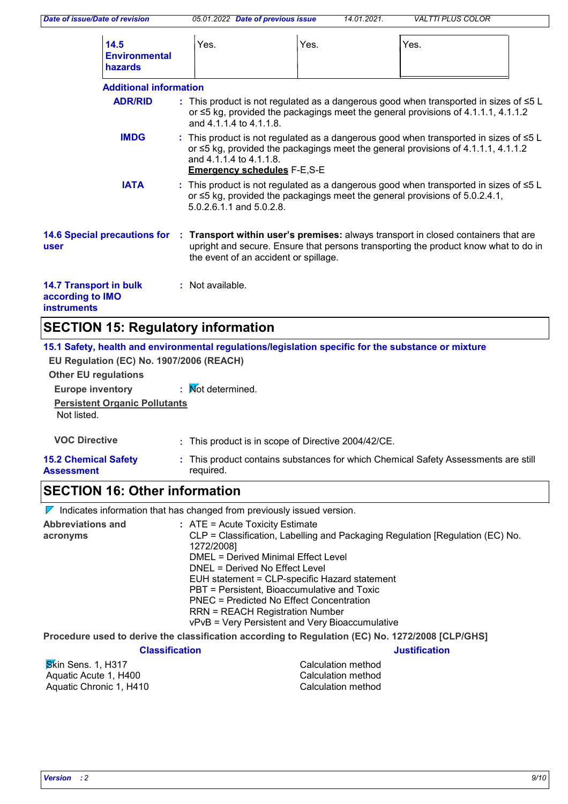| Date of issue/Date of revision                                                                                                                                                 | 05.01.2022 Date of previous issue                                                             | 14.01.2021. | <b>VALTTI PLUS COLOR</b>                                                                                                                                                               |
|--------------------------------------------------------------------------------------------------------------------------------------------------------------------------------|-----------------------------------------------------------------------------------------------|-------------|----------------------------------------------------------------------------------------------------------------------------------------------------------------------------------------|
| 14.5<br><b>Environmental</b><br>hazards                                                                                                                                        | Yes.                                                                                          | Yes.        | Yes.                                                                                                                                                                                   |
| <b>Additional information</b>                                                                                                                                                  |                                                                                               |             |                                                                                                                                                                                        |
| <b>ADR/RID</b>                                                                                                                                                                 | and 4.1.1.4 to 4.1.1.8.                                                                       |             | : This product is not regulated as a dangerous good when transported in sizes of ≤5 L<br>or $\leq$ 5 kg, provided the packagings meet the general provisions of 4.1.1.1, 4.1.1.2       |
| <b>IMDG</b>                                                                                                                                                                    | and 4.1.1.4 to 4.1.1.8.<br><b>Emergency schedules F-E,S-E</b>                                 |             | : This product is not regulated as a dangerous good when transported in sizes of $\leq 5$ L<br>or $\leq$ 5 kg, provided the packagings meet the general provisions of 4.1.1.1, 4.1.1.2 |
| <b>IATA</b>                                                                                                                                                                    | 5.0.2.6.1.1 and 5.0.2.8.                                                                      |             | : This product is not regulated as a dangerous good when transported in sizes of $\leq 5$ L<br>or $\leq$ 5 kg, provided the packagings meet the general provisions of 5.0.2.4.1,       |
| <b>14.6 Special precautions for</b><br>user                                                                                                                                    | the event of an accident or spillage.                                                         |             | : Transport within user's premises: always transport in closed containers that are<br>upright and secure. Ensure that persons transporting the product know what to do in              |
| <b>14.7 Transport in bulk</b><br>according to IMO<br><b>instruments</b>                                                                                                        | : Not available.                                                                              |             |                                                                                                                                                                                        |
| <b>SECTION 15: Regulatory information</b>                                                                                                                                      |                                                                                               |             |                                                                                                                                                                                        |
| 15.1 Safety, health and environmental regulations/legislation specific for the substance or mixture<br>EU Regulation (EC) No. 1907/2006 (REACH)<br><b>Other EU regulations</b> |                                                                                               |             |                                                                                                                                                                                        |
| <b>Europe inventory</b><br><b>Persistent Organic Pollutants</b><br>Not listed.                                                                                                 | : Mot determined.                                                                             |             |                                                                                                                                                                                        |
| <b>VOC Directive</b>                                                                                                                                                           | : This product is in scope of Directive 2004/42/CE.                                           |             |                                                                                                                                                                                        |
| <b>15.2 Chemical Safety</b><br><b>Assessment</b>                                                                                                                               | required.                                                                                     |             | This product contains substances for which Chemical Safety Assessments are still                                                                                                       |
| <b>SECTION 16: Other information</b>                                                                                                                                           |                                                                                               |             |                                                                                                                                                                                        |
| $\nabla$ Indicates information that has changed from previously issued version.                                                                                                |                                                                                               |             |                                                                                                                                                                                        |
| <b>Abbreviations and</b><br>acronyms                                                                                                                                           | $:$ ATE = Acute Toxicity Estimate<br>1272/2008]<br><b>DMEL = Derived Minimal Effect Level</b> |             | CLP = Classification, Labelling and Packaging Regulation [Regulation (EC) No.                                                                                                          |

DNEL = Derived No Effect Level

EUH statement = CLP-specific Hazard statement

PBT = Persistent, Bioaccumulative and Toxic

PNEC = Predicted No Effect Concentration

RRN = REACH Registration Number

vPvB = Very Persistent and Very Bioaccumulative

**Procedure used to derive the classification according to Regulation (EC) No. 1272/2008 [CLP/GHS]**

#### **Classification Justification**

**S**kin Sens. 1, H317 Calculation method<br>Aquatic Acute 1, H400 Calculation method Aquatic Acute 1, H400 Aquatic Chronic 1, H410 Calculation method